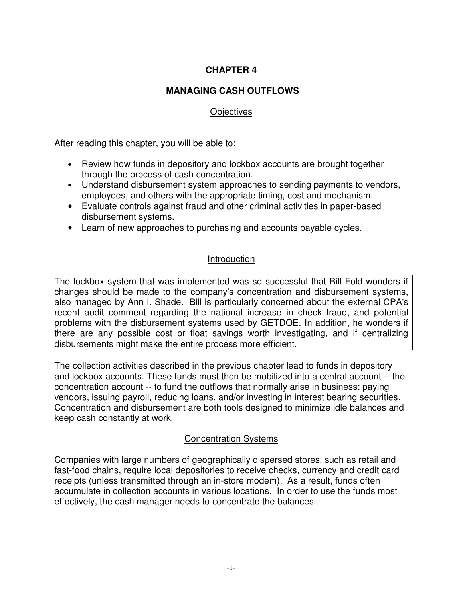# **CHAPTER 4**

## **MANAGING CASH OUTFLOWS**

#### **Objectives**

After reading this chapter, you will be able to:

- Review how funds in depository and lockbox accounts are brought together through the process of cash concentration.
- Understand disbursement system approaches to sending payments to vendors, employees, and others with the appropriate timing, cost and mechanism.
- Evaluate controls against fraud and other criminal activities in paper-based disbursement systems.
- Learn of new approaches to purchasing and accounts payable cycles.

## Introduction

The lockbox system that was implemented was so successful that Bill Fold wonders if changes should be made to the company's concentration and disbursement systems, also managed by Ann I. Shade. Bill is particularly concerned about the external CPA's recent audit comment regarding the national increase in check fraud, and potential problems with the disbursement systems used by GETDOE. In addition, he wonders if there are any possible cost or float savings worth investigating, and if centralizing disbursements might make the entire process more efficient.

The collection activities described in the previous chapter lead to funds in depository and lockbox accounts. These funds must then be mobilized into a central account -- the concentration account -- to fund the outflows that normally arise in business: paying vendors, issuing payroll, reducing loans, and/or investing in interest bearing securities. Concentration and disbursement are both tools designed to minimize idle balances and keep cash constantly at work.

### Concentration Systems

Companies with large numbers of geographically dispersed stores, such as retail and fast-food chains, require local depositories to receive checks, currency and credit card receipts (unless transmitted through an in-store modem). As a result, funds often accumulate in collection accounts in various locations. In order to use the funds most effectively, the cash manager needs to concentrate the balances.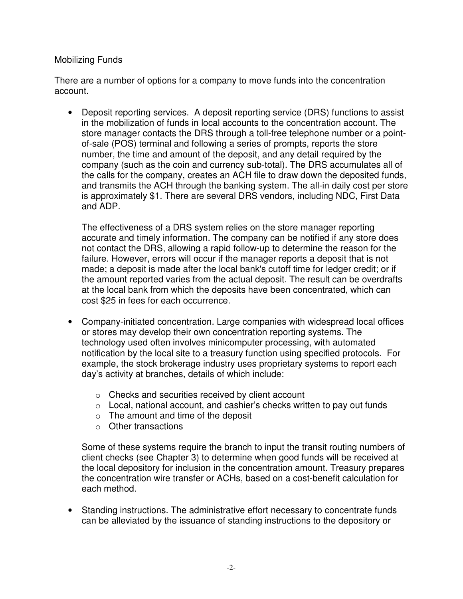#### Mobilizing Funds

There are a number of options for a company to move funds into the concentration account.

• Deposit reporting services. A deposit reporting service (DRS) functions to assist in the mobilization of funds in local accounts to the concentration account. The store manager contacts the DRS through a toll-free telephone number or a pointof-sale (POS) terminal and following a series of prompts, reports the store number, the time and amount of the deposit, and any detail required by the company (such as the coin and currency sub-total). The DRS accumulates all of the calls for the company, creates an ACH file to draw down the deposited funds, and transmits the ACH through the banking system. The all-in daily cost per store is approximately \$1. There are several DRS vendors, including NDC, First Data and ADP.

The effectiveness of a DRS system relies on the store manager reporting accurate and timely information. The company can be notified if any store does not contact the DRS, allowing a rapid follow-up to determine the reason for the failure. However, errors will occur if the manager reports a deposit that is not made; a deposit is made after the local bank's cutoff time for ledger credit; or if the amount reported varies from the actual deposit. The result can be overdrafts at the local bank from which the deposits have been concentrated, which can cost \$25 in fees for each occurrence.

- Company-initiated concentration. Large companies with widespread local offices or stores may develop their own concentration reporting systems. The technology used often involves minicomputer processing, with automated notification by the local site to a treasury function using specified protocols. For example, the stock brokerage industry uses proprietary systems to report each day's activity at branches, details of which include:
	- o Checks and securities received by client account
	- o Local, national account, and cashier's checks written to pay out funds
	- $\circ$  The amount and time of the deposit
	- o Other transactions

Some of these systems require the branch to input the transit routing numbers of client checks (see Chapter 3) to determine when good funds will be received at the local depository for inclusion in the concentration amount. Treasury prepares the concentration wire transfer or ACHs, based on a cost-benefit calculation for each method.

• Standing instructions. The administrative effort necessary to concentrate funds can be alleviated by the issuance of standing instructions to the depository or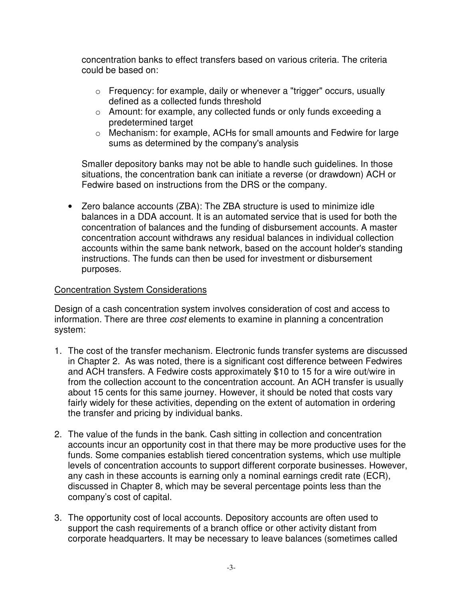concentration banks to effect transfers based on various criteria. The criteria could be based on:

- o Frequency: for example, daily or whenever a "trigger" occurs, usually defined as a collected funds threshold
- o Amount: for example, any collected funds or only funds exceeding a predetermined target
- o Mechanism: for example, ACHs for small amounts and Fedwire for large sums as determined by the company's analysis

Smaller depository banks may not be able to handle such guidelines. In those situations, the concentration bank can initiate a reverse (or drawdown) ACH or Fedwire based on instructions from the DRS or the company.

• Zero balance accounts (ZBA): The ZBA structure is used to minimize idle balances in a DDA account. It is an automated service that is used for both the concentration of balances and the funding of disbursement accounts. A master concentration account withdraws any residual balances in individual collection accounts within the same bank network, based on the account holder's standing instructions. The funds can then be used for investment or disbursement purposes.

### Concentration System Considerations

Design of a cash concentration system involves consideration of cost and access to information. There are three *cost* elements to examine in planning a concentration system:

- 1. The cost of the transfer mechanism. Electronic funds transfer systems are discussed in Chapter 2. As was noted, there is a significant cost difference between Fedwires and ACH transfers. A Fedwire costs approximately \$10 to 15 for a wire out/wire in from the collection account to the concentration account. An ACH transfer is usually about 15 cents for this same journey. However, it should be noted that costs vary fairly widely for these activities, depending on the extent of automation in ordering the transfer and pricing by individual banks.
- 2. The value of the funds in the bank. Cash sitting in collection and concentration accounts incur an opportunity cost in that there may be more productive uses for the funds. Some companies establish tiered concentration systems, which use multiple levels of concentration accounts to support different corporate businesses. However, any cash in these accounts is earning only a nominal earnings credit rate (ECR), discussed in Chapter 8, which may be several percentage points less than the company's cost of capital.
- 3. The opportunity cost of local accounts. Depository accounts are often used to support the cash requirements of a branch office or other activity distant from corporate headquarters. It may be necessary to leave balances (sometimes called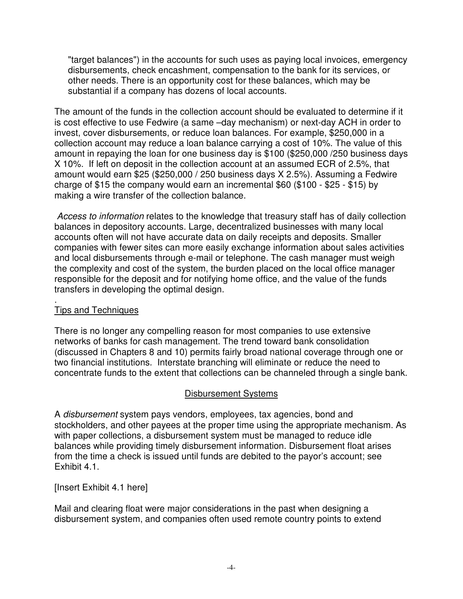"target balances") in the accounts for such uses as paying local invoices, emergency disbursements, check encashment, compensation to the bank for its services, or other needs. There is an opportunity cost for these balances, which may be substantial if a company has dozens of local accounts.

The amount of the funds in the collection account should be evaluated to determine if it is cost effective to use Fedwire (a same –day mechanism) or next-day ACH in order to invest, cover disbursements, or reduce loan balances. For example, \$250,000 in a collection account may reduce a loan balance carrying a cost of 10%. The value of this amount in repaying the loan for one business day is \$100 (\$250,000 /250 business days X 10%. If left on deposit in the collection account at an assumed ECR of 2.5%, that amount would earn \$25 (\$250,000 / 250 business days X 2.5%). Assuming a Fedwire charge of \$15 the company would earn an incremental \$60 (\$100 - \$25 - \$15) by making a wire transfer of the collection balance.

Access to information relates to the knowledge that treasury staff has of daily collection balances in depository accounts. Large, decentralized businesses with many local accounts often will not have accurate data on daily receipts and deposits. Smaller companies with fewer sites can more easily exchange information about sales activities and local disbursements through e-mail or telephone. The cash manager must weigh the complexity and cost of the system, the burden placed on the local office manager responsible for the deposit and for notifying home office, and the value of the funds transfers in developing the optimal design.

#### . Tips and Techniques

There is no longer any compelling reason for most companies to use extensive networks of banks for cash management. The trend toward bank consolidation (discussed in Chapters 8 and 10) permits fairly broad national coverage through one or two financial institutions. Interstate branching will eliminate or reduce the need to concentrate funds to the extent that collections can be channeled through a single bank.

### Disbursement Systems

A disbursement system pays vendors, employees, tax agencies, bond and stockholders, and other payees at the proper time using the appropriate mechanism. As with paper collections, a disbursement system must be managed to reduce idle balances while providing timely disbursement information. Disbursement float arises from the time a check is issued until funds are debited to the payor's account; see Exhibit 4.1.

[Insert Exhibit 4.1 here]

Mail and clearing float were major considerations in the past when designing a disbursement system, and companies often used remote country points to extend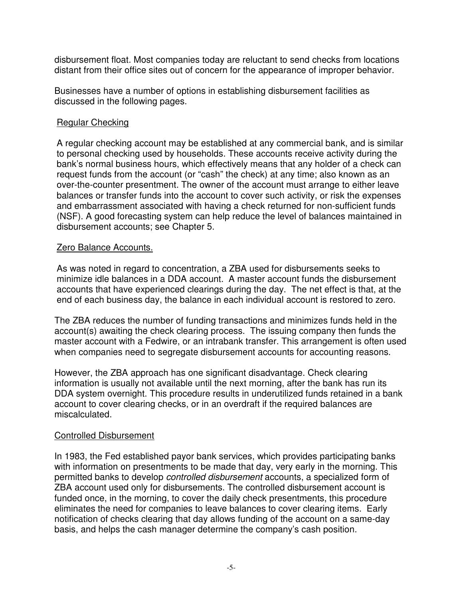disbursement float. Most companies today are reluctant to send checks from locations distant from their office sites out of concern for the appearance of improper behavior.

Businesses have a number of options in establishing disbursement facilities as discussed in the following pages.

#### Regular Checking

A regular checking account may be established at any commercial bank, and is similar to personal checking used by households. These accounts receive activity during the bank's normal business hours, which effectively means that any holder of a check can request funds from the account (or "cash" the check) at any time; also known as an over-the-counter presentment. The owner of the account must arrange to either leave balances or transfer funds into the account to cover such activity, or risk the expenses and embarrassment associated with having a check returned for non-sufficient funds (NSF). A good forecasting system can help reduce the level of balances maintained in disbursement accounts; see Chapter 5.

#### Zero Balance Accounts.

As was noted in regard to concentration, a ZBA used for disbursements seeks to minimize idle balances in a DDA account. A master account funds the disbursement accounts that have experienced clearings during the day. The net effect is that, at the end of each business day, the balance in each individual account is restored to zero.

The ZBA reduces the number of funding transactions and minimizes funds held in the account(s) awaiting the check clearing process. The issuing company then funds the master account with a Fedwire, or an intrabank transfer. This arrangement is often used when companies need to segregate disbursement accounts for accounting reasons.

However, the ZBA approach has one significant disadvantage. Check clearing information is usually not available until the next morning, after the bank has run its DDA system overnight. This procedure results in underutilized funds retained in a bank account to cover clearing checks, or in an overdraft if the required balances are miscalculated.

#### Controlled Disbursement

In 1983, the Fed established payor bank services, which provides participating banks with information on presentments to be made that day, very early in the morning. This permitted banks to develop controlled disbursement accounts, a specialized form of ZBA account used only for disbursements. The controlled disbursement account is funded once, in the morning, to cover the daily check presentments, this procedure eliminates the need for companies to leave balances to cover clearing items. Early notification of checks clearing that day allows funding of the account on a same-day basis, and helps the cash manager determine the company's cash position.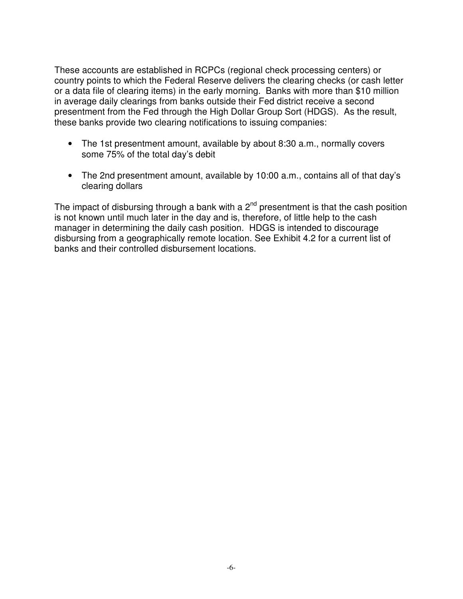These accounts are established in RCPCs (regional check processing centers) or country points to which the Federal Reserve delivers the clearing checks (or cash letter or a data file of clearing items) in the early morning. Banks with more than \$10 million in average daily clearings from banks outside their Fed district receive a second presentment from the Fed through the High Dollar Group Sort (HDGS). As the result, these banks provide two clearing notifications to issuing companies:

- The 1st presentment amount, available by about 8:30 a.m., normally covers some 75% of the total day's debit
- The 2nd presentment amount, available by 10:00 a.m., contains all of that day's clearing dollars

The impact of disbursing through a bank with a  $2<sup>nd</sup>$  presentment is that the cash position is not known until much later in the day and is, therefore, of little help to the cash manager in determining the daily cash position. HDGS is intended to discourage disbursing from a geographically remote location. See Exhibit 4.2 for a current list of banks and their controlled disbursement locations.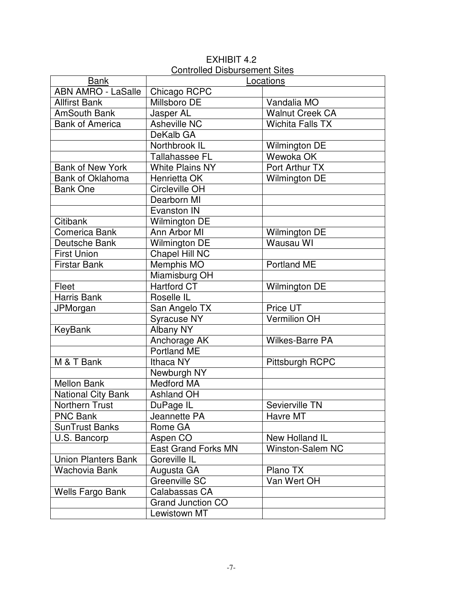| <b>Bank</b>                | Locations                  |                         |
|----------------------------|----------------------------|-------------------------|
| <b>ABN AMRO - LaSalle</b>  | Chicago RCPC               |                         |
| <b>Allfirst Bank</b>       | Millsboro DE               | Vandalia MO             |
| <b>AmSouth Bank</b>        | Jasper AL                  | <b>Walnut Creek CA</b>  |
| <b>Bank of America</b>     | <b>Asheville NC</b>        | <b>Wichita Falls TX</b> |
|                            | DeKalb GA                  |                         |
|                            | Northbrook IL              | <b>Wilmington DE</b>    |
|                            | <b>Tallahassee FL</b>      | Wewoka OK               |
| <b>Bank of New York</b>    | <b>White Plains NY</b>     | Port Arthur TX          |
| <b>Bank of Oklahoma</b>    | Henrietta OK               | <b>Wilmington DE</b>    |
| <b>Bank One</b>            | Circleville OH             |                         |
|                            | Dearborn MI                |                         |
|                            | Evanston IN                |                         |
| Citibank                   | Wilmington DE              |                         |
| Comerica Bank              | Ann Arbor MI               | <b>Wilmington DE</b>    |
| Deutsche Bank              | <b>Wilmington DE</b>       | Wausau WI               |
| <b>First Union</b>         | Chapel Hill NC             |                         |
| <b>Firstar Bank</b>        | Memphis MO                 | Portland ME             |
|                            | Miamisburg OH              |                         |
| Fleet                      | <b>Hartford CT</b>         | Wilmington DE           |
| Harris Bank                | Roselle IL                 |                         |
| JPMorgan                   | San Angelo TX              | Price UT                |
|                            | <b>Syracuse NY</b>         | Vermilion OH            |
| KeyBank                    | Albany NY                  |                         |
|                            | Anchorage AK               | <b>Wilkes-Barre PA</b>  |
|                            | <b>Portland ME</b>         |                         |
| M & T Bank                 | Ithaca NY                  | Pittsburgh RCPC         |
|                            | Newburgh NY                |                         |
| <b>Mellon Bank</b>         | <b>Medford MA</b>          |                         |
| National City Bank         | <b>Ashland OH</b>          |                         |
| <b>Northern Trust</b>      | DuPage IL                  | Sevierville TN          |
| <b>PNC Bank</b>            | Jeannette PA               | <b>Havre MT</b>         |
| <b>SunTrust Banks</b>      | Rome GA                    |                         |
| U.S. Bancorp               | Aspen CO                   | New Holland IL          |
|                            | <b>East Grand Forks MN</b> | <b>Winston-Salem NC</b> |
| <b>Union Planters Bank</b> | Goreville IL               |                         |
| Wachovia Bank              | Augusta GA                 | Plano TX                |
|                            | Greenville SC              | Van Wert OH             |
| <b>Wells Fargo Bank</b>    | Calabassas CA              |                         |
|                            | <b>Grand Junction CO</b>   |                         |
|                            | Lewistown MT               |                         |

EXHIBIT 4.2 Controlled Disbursement Sites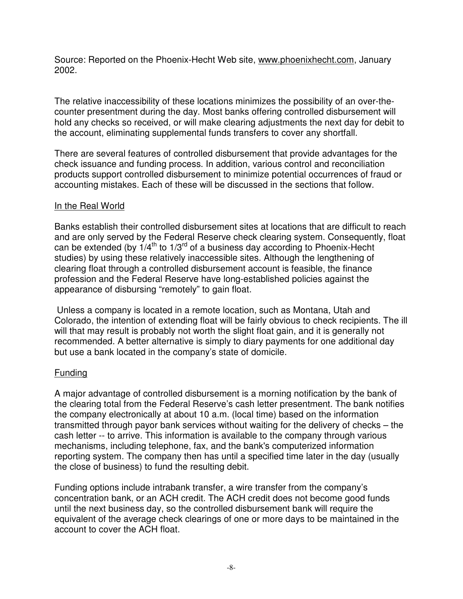Source: Reported on the Phoenix-Hecht Web site, www.phoenixhecht.com, January 2002.

The relative inaccessibility of these locations minimizes the possibility of an over-thecounter presentment during the day. Most banks offering controlled disbursement will hold any checks so received, or will make clearing adjustments the next day for debit to the account, eliminating supplemental funds transfers to cover any shortfall.

There are several features of controlled disbursement that provide advantages for the check issuance and funding process. In addition, various control and reconciliation products support controlled disbursement to minimize potential occurrences of fraud or accounting mistakes. Each of these will be discussed in the sections that follow.

### In the Real World

Banks establish their controlled disbursement sites at locations that are difficult to reach and are only served by the Federal Reserve check clearing system. Consequently, float can be extended (by  $1/4^{th}$  to  $1/3^{rd}$  of a business day according to Phoenix-Hecht studies) by using these relatively inaccessible sites. Although the lengthening of clearing float through a controlled disbursement account is feasible, the finance profession and the Federal Reserve have long-established policies against the appearance of disbursing "remotely" to gain float.

 Unless a company is located in a remote location, such as Montana, Utah and Colorado, the intention of extending float will be fairly obvious to check recipients. The ill will that may result is probably not worth the slight float gain, and it is generally not recommended. A better alternative is simply to diary payments for one additional day but use a bank located in the company's state of domicile.

### Funding

A major advantage of controlled disbursement is a morning notification by the bank of the clearing total from the Federal Reserve's cash letter presentment. The bank notifies the company electronically at about 10 a.m. (local time) based on the information transmitted through payor bank services without waiting for the delivery of checks – the cash letter -- to arrive. This information is available to the company through various mechanisms, including telephone, fax, and the bank's computerized information reporting system. The company then has until a specified time later in the day (usually the close of business) to fund the resulting debit.

Funding options include intrabank transfer, a wire transfer from the company's concentration bank, or an ACH credit. The ACH credit does not become good funds until the next business day, so the controlled disbursement bank will require the equivalent of the average check clearings of one or more days to be maintained in the account to cover the ACH float.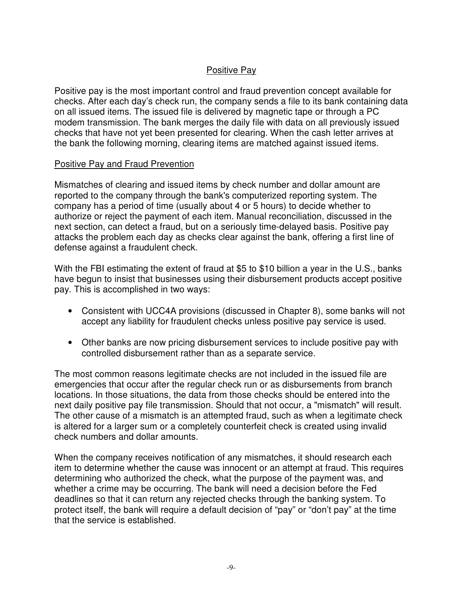### Positive Pay

Positive pay is the most important control and fraud prevention concept available for checks. After each day's check run, the company sends a file to its bank containing data on all issued items. The issued file is delivered by magnetic tape or through a PC modem transmission. The bank merges the daily file with data on all previously issued checks that have not yet been presented for clearing. When the cash letter arrives at the bank the following morning, clearing items are matched against issued items.

#### Positive Pay and Fraud Prevention

Mismatches of clearing and issued items by check number and dollar amount are reported to the company through the bank's computerized reporting system. The company has a period of time (usually about 4 or 5 hours) to decide whether to authorize or reject the payment of each item. Manual reconciliation, discussed in the next section, can detect a fraud, but on a seriously time-delayed basis. Positive pay attacks the problem each day as checks clear against the bank, offering a first line of defense against a fraudulent check.

With the FBI estimating the extent of fraud at \$5 to \$10 billion a year in the U.S., banks have begun to insist that businesses using their disbursement products accept positive pay. This is accomplished in two ways:

- Consistent with UCC4A provisions (discussed in Chapter 8), some banks will not accept any liability for fraudulent checks unless positive pay service is used.
- Other banks are now pricing disbursement services to include positive pay with controlled disbursement rather than as a separate service.

The most common reasons legitimate checks are not included in the issued file are emergencies that occur after the regular check run or as disbursements from branch locations. In those situations, the data from those checks should be entered into the next daily positive pay file transmission. Should that not occur, a "mismatch" will result. The other cause of a mismatch is an attempted fraud, such as when a legitimate check is altered for a larger sum or a completely counterfeit check is created using invalid check numbers and dollar amounts.

When the company receives notification of any mismatches, it should research each item to determine whether the cause was innocent or an attempt at fraud. This requires determining who authorized the check, what the purpose of the payment was, and whether a crime may be occurring. The bank will need a decision before the Fed deadlines so that it can return any rejected checks through the banking system. To protect itself, the bank will require a default decision of "pay" or "don't pay" at the time that the service is established.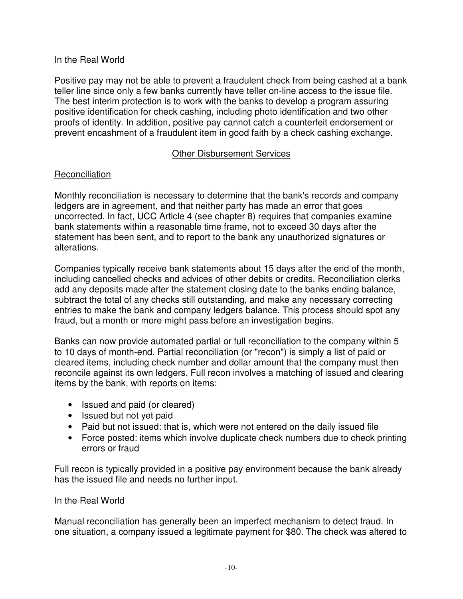### In the Real World

Positive pay may not be able to prevent a fraudulent check from being cashed at a bank teller line since only a few banks currently have teller on-line access to the issue file. The best interim protection is to work with the banks to develop a program assuring positive identification for check cashing, including photo identification and two other proofs of identity. In addition, positive pay cannot catch a counterfeit endorsement or prevent encashment of a fraudulent item in good faith by a check cashing exchange.

#### Other Disbursement Services

### Reconciliation

Monthly reconciliation is necessary to determine that the bank's records and company ledgers are in agreement, and that neither party has made an error that goes uncorrected. In fact, UCC Article 4 (see chapter 8) requires that companies examine bank statements within a reasonable time frame, not to exceed 30 days after the statement has been sent, and to report to the bank any unauthorized signatures or alterations.

Companies typically receive bank statements about 15 days after the end of the month, including cancelled checks and advices of other debits or credits. Reconciliation clerks add any deposits made after the statement closing date to the banks ending balance, subtract the total of any checks still outstanding, and make any necessary correcting entries to make the bank and company ledgers balance. This process should spot any fraud, but a month or more might pass before an investigation begins.

Banks can now provide automated partial or full reconciliation to the company within 5 to 10 days of month-end. Partial reconciliation (or "recon") is simply a list of paid or cleared items, including check number and dollar amount that the company must then reconcile against its own ledgers. Full recon involves a matching of issued and clearing items by the bank, with reports on items:

- Issued and paid (or cleared)
- Issued but not yet paid
- Paid but not issued: that is, which were not entered on the daily issued file
- Force posted: items which involve duplicate check numbers due to check printing errors or fraud

Full recon is typically provided in a positive pay environment because the bank already has the issued file and needs no further input.

#### In the Real World

Manual reconciliation has generally been an imperfect mechanism to detect fraud. In one situation, a company issued a legitimate payment for \$80. The check was altered to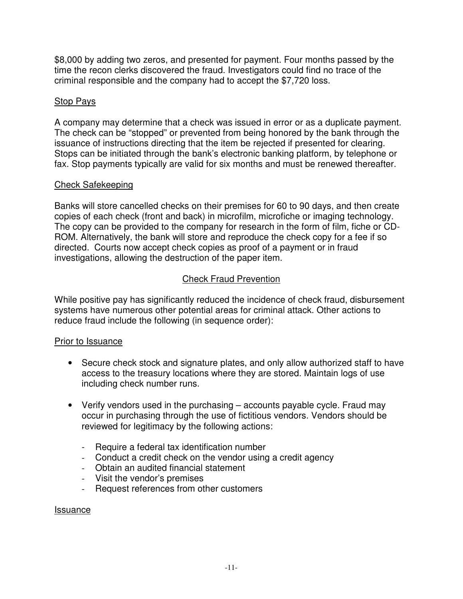\$8,000 by adding two zeros, and presented for payment. Four months passed by the time the recon clerks discovered the fraud. Investigators could find no trace of the criminal responsible and the company had to accept the \$7,720 loss.

### Stop Pays

A company may determine that a check was issued in error or as a duplicate payment. The check can be "stopped" or prevented from being honored by the bank through the issuance of instructions directing that the item be rejected if presented for clearing. Stops can be initiated through the bank's electronic banking platform, by telephone or fax. Stop payments typically are valid for six months and must be renewed thereafter.

### Check Safekeeping

Banks will store cancelled checks on their premises for 60 to 90 days, and then create copies of each check (front and back) in microfilm, microfiche or imaging technology. The copy can be provided to the company for research in the form of film, fiche or CD-ROM. Alternatively, the bank will store and reproduce the check copy for a fee if so directed. Courts now accept check copies as proof of a payment or in fraud investigations, allowing the destruction of the paper item.

### Check Fraud Prevention

While positive pay has significantly reduced the incidence of check fraud, disbursement systems have numerous other potential areas for criminal attack. Other actions to reduce fraud include the following (in sequence order):

### Prior to Issuance

- Secure check stock and signature plates, and only allow authorized staff to have access to the treasury locations where they are stored. Maintain logs of use including check number runs.
- Verify vendors used in the purchasing accounts payable cycle. Fraud may occur in purchasing through the use of fictitious vendors. Vendors should be reviewed for legitimacy by the following actions:
	- Require a federal tax identification number
	- Conduct a credit check on the vendor using a credit agency
	- Obtain an audited financial statement
	- Visit the vendor's premises
	- Request references from other customers

#### Issuance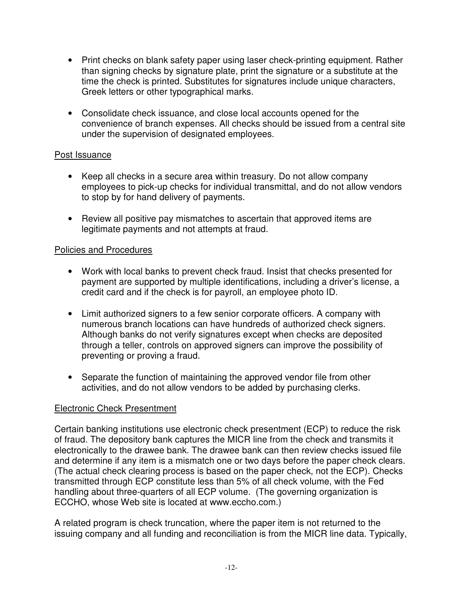- Print checks on blank safety paper using laser check-printing equipment. Rather than signing checks by signature plate, print the signature or a substitute at the time the check is printed. Substitutes for signatures include unique characters, Greek letters or other typographical marks.
- Consolidate check issuance, and close local accounts opened for the convenience of branch expenses. All checks should be issued from a central site under the supervision of designated employees.

### Post Issuance

- Keep all checks in a secure area within treasury. Do not allow company employees to pick-up checks for individual transmittal, and do not allow vendors to stop by for hand delivery of payments.
- Review all positive pay mismatches to ascertain that approved items are legitimate payments and not attempts at fraud.

#### Policies and Procedures

- Work with local banks to prevent check fraud. Insist that checks presented for payment are supported by multiple identifications, including a driver's license, a credit card and if the check is for payroll, an employee photo ID.
- Limit authorized signers to a few senior corporate officers. A company with numerous branch locations can have hundreds of authorized check signers. Although banks do not verify signatures except when checks are deposited through a teller, controls on approved signers can improve the possibility of preventing or proving a fraud.
- Separate the function of maintaining the approved vendor file from other activities, and do not allow vendors to be added by purchasing clerks.

### Electronic Check Presentment

Certain banking institutions use electronic check presentment (ECP) to reduce the risk of fraud. The depository bank captures the MICR line from the check and transmits it electronically to the drawee bank. The drawee bank can then review checks issued file and determine if any item is a mismatch one or two days before the paper check clears. (The actual check clearing process is based on the paper check, not the ECP). Checks transmitted through ECP constitute less than 5% of all check volume, with the Fed handling about three-quarters of all ECP volume. (The governing organization is ECCHO, whose Web site is located at www.eccho.com.)

A related program is check truncation, where the paper item is not returned to the issuing company and all funding and reconciliation is from the MICR line data. Typically,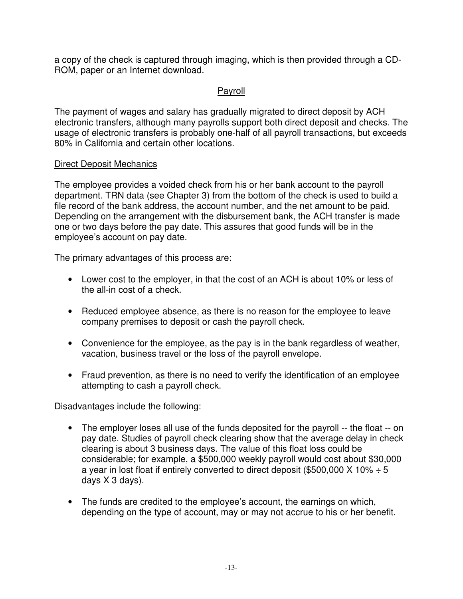a copy of the check is captured through imaging, which is then provided through a CD-ROM, paper or an Internet download.

# Payroll

The payment of wages and salary has gradually migrated to direct deposit by ACH electronic transfers, although many payrolls support both direct deposit and checks. The usage of electronic transfers is probably one-half of all payroll transactions, but exceeds 80% in California and certain other locations.

#### Direct Deposit Mechanics

The employee provides a voided check from his or her bank account to the payroll department. TRN data (see Chapter 3) from the bottom of the check is used to build a file record of the bank address, the account number, and the net amount to be paid. Depending on the arrangement with the disbursement bank, the ACH transfer is made one or two days before the pay date. This assures that good funds will be in the employee's account on pay date.

The primary advantages of this process are:

- Lower cost to the employer, in that the cost of an ACH is about 10% or less of the all-in cost of a check.
- Reduced employee absence, as there is no reason for the employee to leave company premises to deposit or cash the payroll check.
- Convenience for the employee, as the pay is in the bank regardless of weather, vacation, business travel or the loss of the payroll envelope.
- Fraud prevention, as there is no need to verify the identification of an employee attempting to cash a payroll check.

Disadvantages include the following:

- The employer loses all use of the funds deposited for the payroll -- the float -- on pay date. Studies of payroll check clearing show that the average delay in check clearing is about 3 business days. The value of this float loss could be considerable; for example, a \$500,000 weekly payroll would cost about \$30,000 a year in lost float if entirely converted to direct deposit (\$500,000  $X$  10%  $\div$  5 days X 3 days).
- The funds are credited to the employee's account, the earnings on which, depending on the type of account, may or may not accrue to his or her benefit.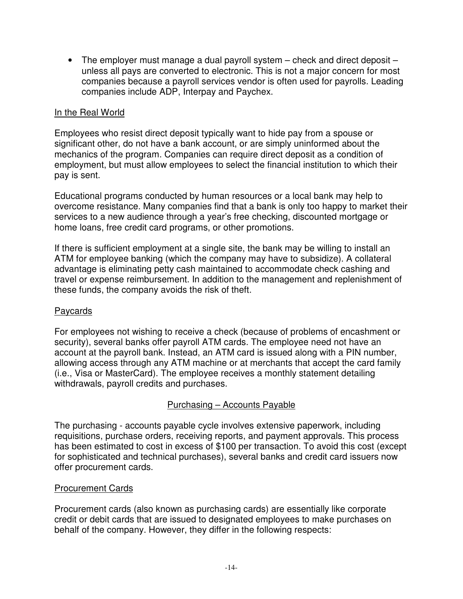• The employer must manage a dual payroll system – check and direct deposit – unless all pays are converted to electronic. This is not a major concern for most companies because a payroll services vendor is often used for payrolls. Leading companies include ADP, Interpay and Paychex.

#### In the Real World

Employees who resist direct deposit typically want to hide pay from a spouse or significant other, do not have a bank account, or are simply uninformed about the mechanics of the program. Companies can require direct deposit as a condition of employment, but must allow employees to select the financial institution to which their pay is sent.

Educational programs conducted by human resources or a local bank may help to overcome resistance. Many companies find that a bank is only too happy to market their services to a new audience through a year's free checking, discounted mortgage or home loans, free credit card programs, or other promotions.

If there is sufficient employment at a single site, the bank may be willing to install an ATM for employee banking (which the company may have to subsidize). A collateral advantage is eliminating petty cash maintained to accommodate check cashing and travel or expense reimbursement. In addition to the management and replenishment of these funds, the company avoids the risk of theft.

### Paycards

For employees not wishing to receive a check (because of problems of encashment or security), several banks offer payroll ATM cards. The employee need not have an account at the payroll bank. Instead, an ATM card is issued along with a PIN number, allowing access through any ATM machine or at merchants that accept the card family (i.e., Visa or MasterCard). The employee receives a monthly statement detailing withdrawals, payroll credits and purchases.

### Purchasing – Accounts Payable

The purchasing - accounts payable cycle involves extensive paperwork, including requisitions, purchase orders, receiving reports, and payment approvals. This process has been estimated to cost in excess of \$100 per transaction. To avoid this cost (except for sophisticated and technical purchases), several banks and credit card issuers now offer procurement cards.

#### Procurement Cards

Procurement cards (also known as purchasing cards) are essentially like corporate credit or debit cards that are issued to designated employees to make purchases on behalf of the company. However, they differ in the following respects: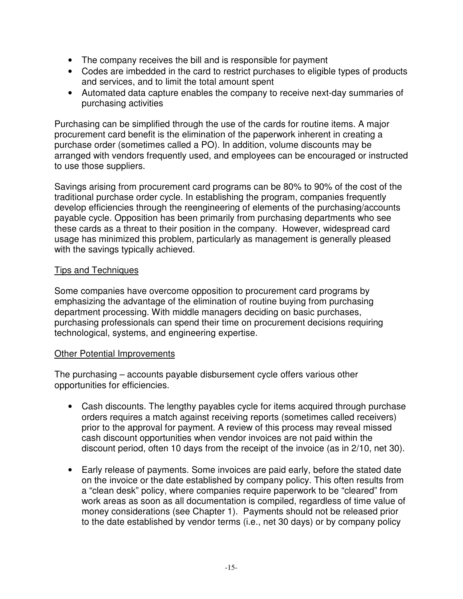- The company receives the bill and is responsible for payment
- Codes are imbedded in the card to restrict purchases to eligible types of products and services, and to limit the total amount spent
- Automated data capture enables the company to receive next-day summaries of purchasing activities

Purchasing can be simplified through the use of the cards for routine items. A major procurement card benefit is the elimination of the paperwork inherent in creating a purchase order (sometimes called a PO). In addition, volume discounts may be arranged with vendors frequently used, and employees can be encouraged or instructed to use those suppliers.

Savings arising from procurement card programs can be 80% to 90% of the cost of the traditional purchase order cycle. In establishing the program, companies frequently develop efficiencies through the reengineering of elements of the purchasing/accounts payable cycle. Opposition has been primarily from purchasing departments who see these cards as a threat to their position in the company. However, widespread card usage has minimized this problem, particularly as management is generally pleased with the savings typically achieved.

### Tips and Techniques

Some companies have overcome opposition to procurement card programs by emphasizing the advantage of the elimination of routine buying from purchasing department processing. With middle managers deciding on basic purchases, purchasing professionals can spend their time on procurement decisions requiring technological, systems, and engineering expertise.

#### Other Potential Improvements

The purchasing – accounts payable disbursement cycle offers various other opportunities for efficiencies.

- Cash discounts. The lengthy payables cycle for items acquired through purchase orders requires a match against receiving reports (sometimes called receivers) prior to the approval for payment. A review of this process may reveal missed cash discount opportunities when vendor invoices are not paid within the discount period, often 10 days from the receipt of the invoice (as in 2/10, net 30).
- Early release of payments. Some invoices are paid early, before the stated date on the invoice or the date established by company policy. This often results from a "clean desk" policy, where companies require paperwork to be "cleared" from work areas as soon as all documentation is compiled, regardless of time value of money considerations (see Chapter 1). Payments should not be released prior to the date established by vendor terms (i.e., net 30 days) or by company policy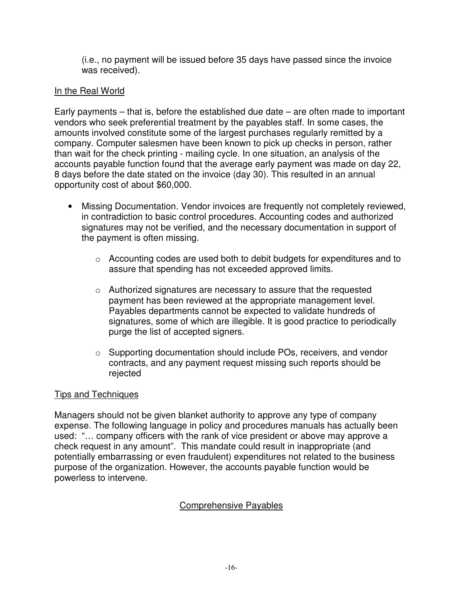(i.e., no payment will be issued before 35 days have passed since the invoice was received).

### In the Real World

Early payments – that is, before the established due date – are often made to important vendors who seek preferential treatment by the payables staff. In some cases, the amounts involved constitute some of the largest purchases regularly remitted by a company. Computer salesmen have been known to pick up checks in person, rather than wait for the check printing - mailing cycle. In one situation, an analysis of the accounts payable function found that the average early payment was made on day 22, 8 days before the date stated on the invoice (day 30). This resulted in an annual opportunity cost of about \$60,000.

- Missing Documentation. Vendor invoices are frequently not completely reviewed, in contradiction to basic control procedures. Accounting codes and authorized signatures may not be verified, and the necessary documentation in support of the payment is often missing.
	- o Accounting codes are used both to debit budgets for expenditures and to assure that spending has not exceeded approved limits.
	- o Authorized signatures are necessary to assure that the requested payment has been reviewed at the appropriate management level. Payables departments cannot be expected to validate hundreds of signatures, some of which are illegible. It is good practice to periodically purge the list of accepted signers.
	- o Supporting documentation should include POs, receivers, and vendor contracts, and any payment request missing such reports should be rejected

### Tips and Techniques

Managers should not be given blanket authority to approve any type of company expense. The following language in policy and procedures manuals has actually been used: "… company officers with the rank of vice president or above may approve a check request in any amount". This mandate could result in inappropriate (and potentially embarrassing or even fraudulent) expenditures not related to the business purpose of the organization. However, the accounts payable function would be powerless to intervene.

# Comprehensive Payables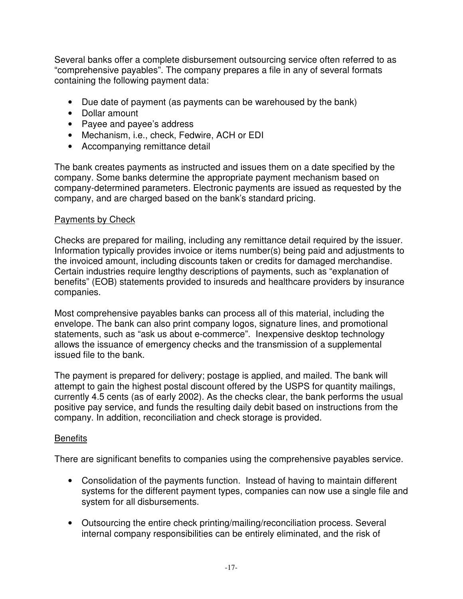Several banks offer a complete disbursement outsourcing service often referred to as "comprehensive payables". The company prepares a file in any of several formats containing the following payment data:

- Due date of payment (as payments can be warehoused by the bank)
- Dollar amount
- Payee and payee's address
- Mechanism, i.e., check, Fedwire, ACH or EDI
- Accompanying remittance detail

The bank creates payments as instructed and issues them on a date specified by the company. Some banks determine the appropriate payment mechanism based on company-determined parameters. Electronic payments are issued as requested by the company, and are charged based on the bank's standard pricing.

#### Payments by Check

Checks are prepared for mailing, including any remittance detail required by the issuer. Information typically provides invoice or items number(s) being paid and adjustments to the invoiced amount, including discounts taken or credits for damaged merchandise. Certain industries require lengthy descriptions of payments, such as "explanation of benefits" (EOB) statements provided to insureds and healthcare providers by insurance companies.

Most comprehensive payables banks can process all of this material, including the envelope. The bank can also print company logos, signature lines, and promotional statements, such as "ask us about e-commerce". Inexpensive desktop technology allows the issuance of emergency checks and the transmission of a supplemental issued file to the bank.

The payment is prepared for delivery; postage is applied, and mailed. The bank will attempt to gain the highest postal discount offered by the USPS for quantity mailings, currently 4.5 cents (as of early 2002). As the checks clear, the bank performs the usual positive pay service, and funds the resulting daily debit based on instructions from the company. In addition, reconciliation and check storage is provided.

### **Benefits**

There are significant benefits to companies using the comprehensive payables service.

- Consolidation of the payments function. Instead of having to maintain different systems for the different payment types, companies can now use a single file and system for all disbursements.
- Outsourcing the entire check printing/mailing/reconciliation process. Several internal company responsibilities can be entirely eliminated, and the risk of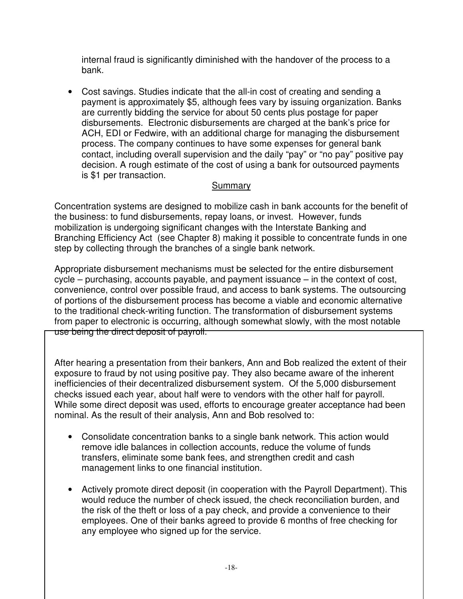internal fraud is significantly diminished with the handover of the process to a bank.

• Cost savings. Studies indicate that the all-in cost of creating and sending a payment is approximately \$5, although fees vary by issuing organization. Banks are currently bidding the service for about 50 cents plus postage for paper disbursements. Electronic disbursements are charged at the bank's price for ACH, EDI or Fedwire, with an additional charge for managing the disbursement process. The company continues to have some expenses for general bank contact, including overall supervision and the daily "pay" or "no pay" positive pay decision. A rough estimate of the cost of using a bank for outsourced payments is \$1 per transaction.

### Summary

Concentration systems are designed to mobilize cash in bank accounts for the benefit of the business: to fund disbursements, repay loans, or invest. However, funds mobilization is undergoing significant changes with the Interstate Banking and Branching Efficiency Act (see Chapter 8) making it possible to concentrate funds in one step by collecting through the branches of a single bank network.

Appropriate disbursement mechanisms must be selected for the entire disbursement cycle – purchasing, accounts payable, and payment issuance – in the context of cost, convenience, control over possible fraud, and access to bank systems. The outsourcing of portions of the disbursement process has become a viable and economic alternative to the traditional check-writing function. The transformation of disbursement systems from paper to electronic is occurring, although somewhat slowly, with the most notable use being the direct deposit of payroll.

After hearing a presentation from their bankers, Ann and Bob realized the extent of their exposure to fraud by not using positive pay. They also became aware of the inherent inefficiencies of their decentralized disbursement system. Of the 5,000 disbursement checks issued each year, about half were to vendors with the other half for payroll. While some direct deposit was used, efforts to encourage greater acceptance had been nominal. As the result of their analysis, Ann and Bob resolved to:

- Consolidate concentration banks to a single bank network. This action would remove idle balances in collection accounts, reduce the volume of funds transfers, eliminate some bank fees, and strengthen credit and cash management links to one financial institution.
- Actively promote direct deposit (in cooperation with the Payroll Department). This would reduce the number of check issued, the check reconciliation burden, and the risk of the theft or loss of a pay check, and provide a convenience to their employees. One of their banks agreed to provide 6 months of free checking for any employee who signed up for the service.